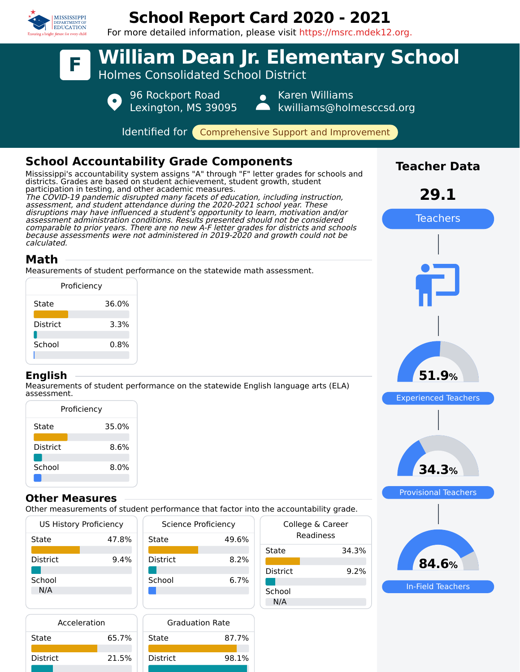

## **School Report Card 2020 - 2021**

For more detailed information, please visit https://msrc.mdek12.org.



| Acceleration |       | Graduation      |
|--------------|-------|-----------------|
| State        | 65.7% | State           |
| District     | 21.5% | <b>District</b> |
|              |       |                 |

Rate

87.7%

98.1%